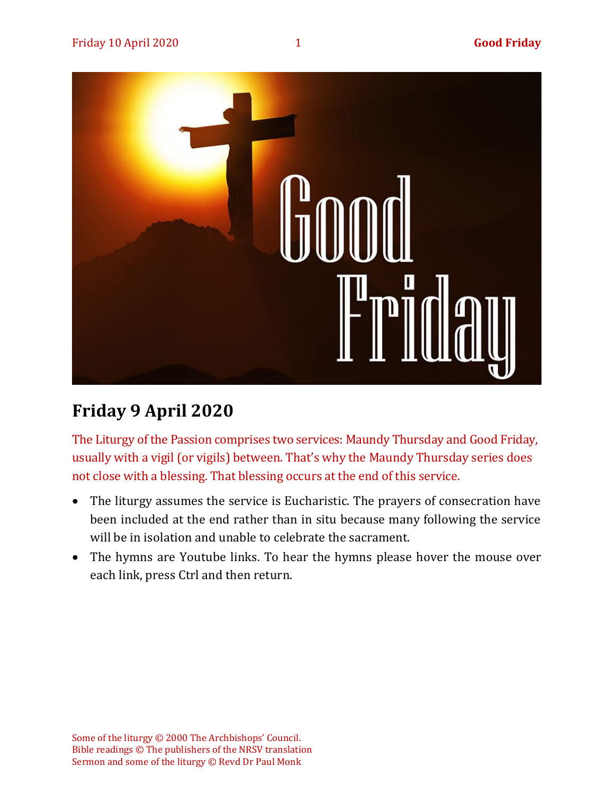

# **Friday 9 April 2020**

The Liturgy of the Passion comprises two services: Maundy Thursday and Good Friday, usually with a vigil (or vigils) between. That's why the Maundy Thursday series does not close with a blessing. That blessing occurs at the end of this service.

- The liturgy assumes the service is Eucharistic. The prayers of consecration have been included at the end rather than in situ because many following the service will be in isolation and unable to celebrate the sacrament.
- The hymns are Youtube links. To hear the hymns please hover the mouse over each link, press Ctrl and then return.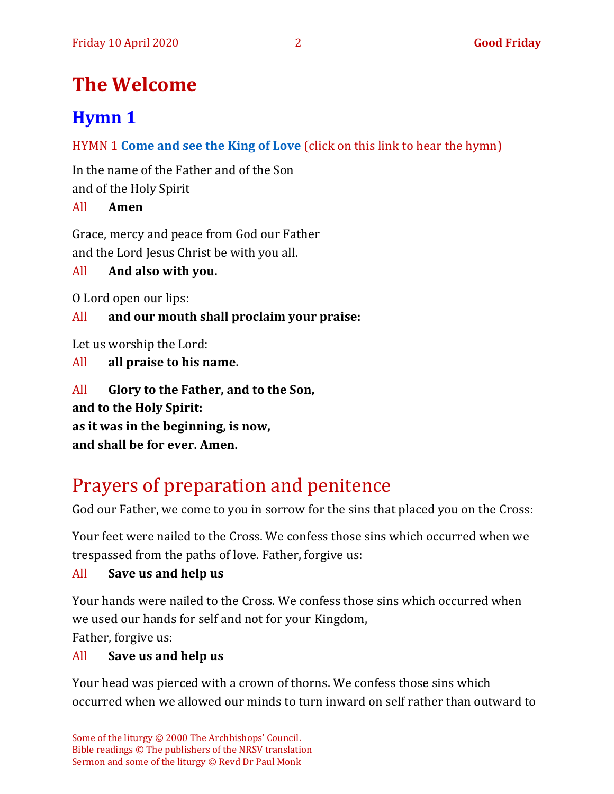# **The Welcome**

# **Hymn 1**

HYMN 1 **[Come and see the King of Love](https://www.youtube.com/watch?v=Vz9rgVEm2WY)** (click on this link to hear the hymn)

In the name of the Father and of the Son and of the Holy Spirit

## All **Amen**

Grace, mercy and peace from God our Father and the Lord Jesus Christ be with you all.

### All **And also with you.**

O Lord open our lips:

All **and our mouth shall proclaim your praise:**

Let us worship the Lord:

All **all praise to his name.**

All **Glory to the Father, and to the Son, and to the Holy Spirit:**

**as it was in the beginning, is now,**

**and shall be for ever. Amen.**

# Prayers of preparation and penitence

God our Father, we come to you in sorrow for the sins that placed you on the Cross:

Your feet were nailed to the Cross. We confess those sins which occurred when we trespassed from the paths of love. Father, forgive us:

## All **Save us and help us**

Your hands were nailed to the Cross. We confess those sins which occurred when we used our hands for self and not for your Kingdom, Father, forgive us:

### All **Save us and help us**

Your head was pierced with a crown of thorns. We confess those sins which occurred when we allowed our minds to turn inward on self rather than outward to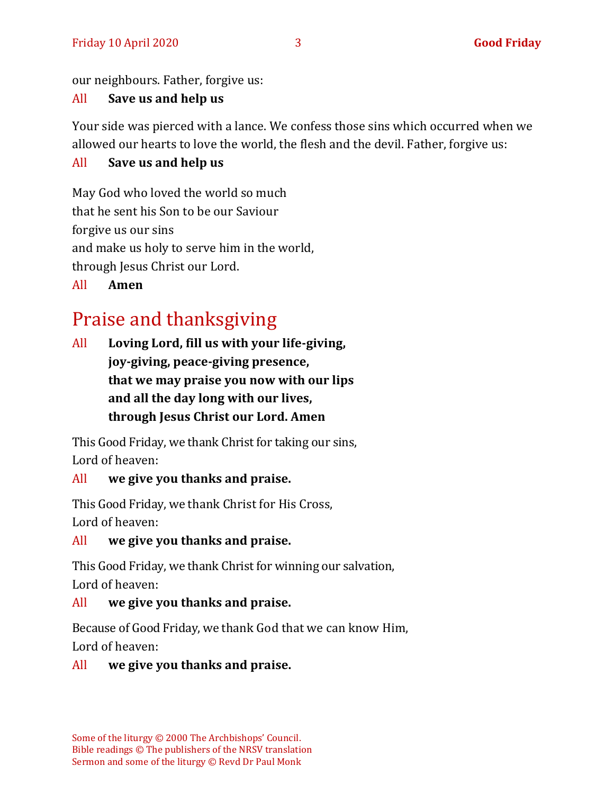our neighbours. Father, forgive us:

# All **Save us and help us**

Your side was pierced with a lance. We confess those sins which occurred when we allowed our hearts to love the world, the flesh and the devil. Father, forgive us:

# All **Save us and help us**

May God who loved the world so much that he sent his Son to be our Saviour forgive us our sins and make us holy to serve him in the world, through Jesus Christ our Lord.

All **Amen**

# Praise and thanksgiving

All **Loving Lord, fill us with your life-giving, joy-giving, peace-giving presence, that we may praise you now with our lips and all the day long with our lives, through Jesus Christ our Lord. Amen**

This Good Friday, we thank Christ for taking our sins, Lord of heaven:

# All **we give you thanks and praise.**

This Good Friday, we thank Christ for His Cross, Lord of heaven:

# All **we give you thanks and praise.**

This Good Friday, we thank Christ for winning our salvation, Lord of heaven:

# All **we give you thanks and praise.**

Because of Good Friday, we thank God that we can know Him, Lord of heaven:

# All **we give you thanks and praise.**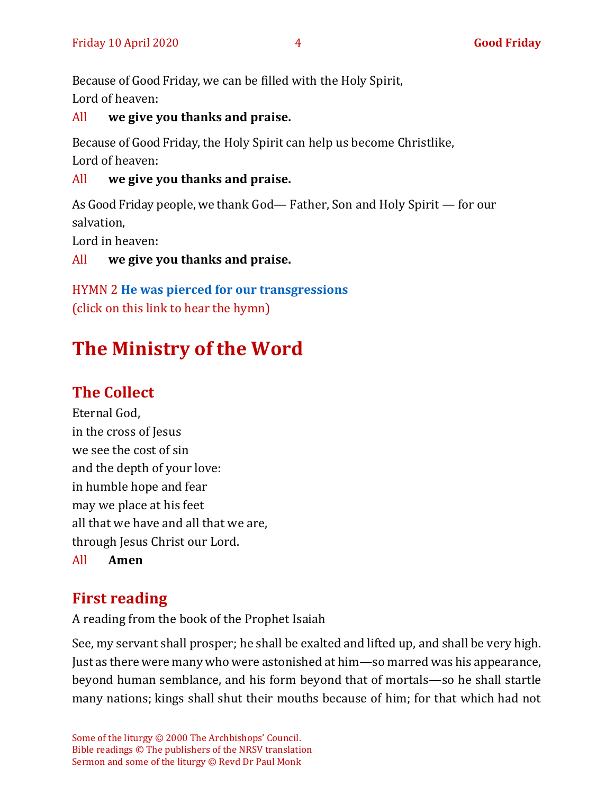Because of Good Friday, we can be filled with the Holy Spirit, Lord of heaven:

### All **we give you thanks and praise.**

Because of Good Friday, the Holy Spirit can help us become Christlike, Lord of heaven:

### All **we give you thanks and praise.**

As Good Friday people, we thank God— Father, Son and Holy Spirit — for our salvation,

Lord in heaven:

### All **we give you thanks and praise.**

HYMN 2 **[He was pierced for our transgressions](https://www.youtube.com/watch?v=QzdYPWgzrrc)**  (click on this link to hear the hymn)

# **The Ministry of the Word**

# **The Collect**

Eternal God, in the cross of Jesus we see the cost of sin and the depth of your love: in humble hope and fear may we place at his feet all that we have and all that we are, through Jesus Christ our Lord.

All **Amen**

# **First reading**

A reading from the book of the Prophet Isaiah

See, my servant shall prosper; he shall be exalted and lifted up, and shall be very high. Just as there were many who were astonished at him—so marred was his appearance, beyond human semblance, and his form beyond that of mortals—so he shall startle many nations; kings shall shut their mouths because of him; for that which had not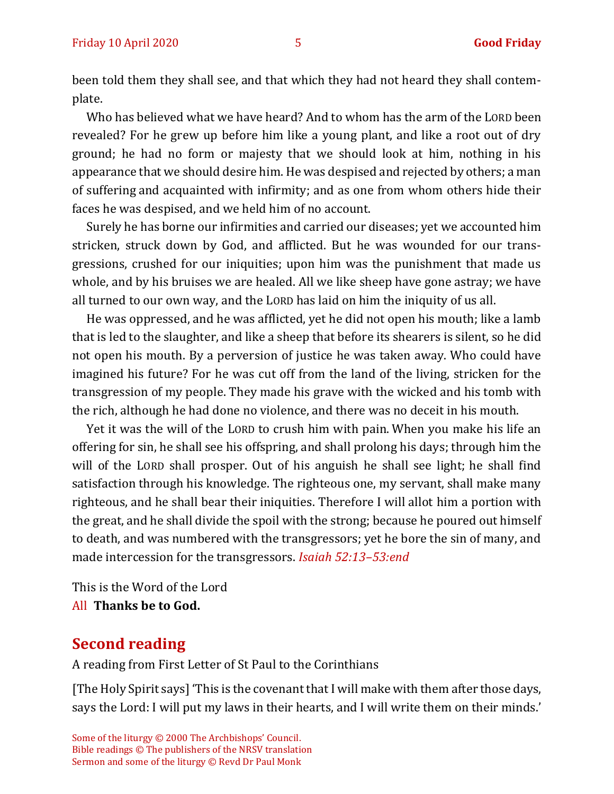been told them they shall see, and that which they had not heard they shall contemplate.

Who has believed what we have heard? And to whom has the arm of the LORD been revealed? For he grew up before him like a young plant, and like a root out of dry ground; he had no form or majesty that we should look at him, nothing in his appearance that we should desire him. He was despised and rejected by others; a man of suffering and acquainted with infirmity; and as one from whom others hide their faces he was despised, and we held him of no account.

Surely he has borne our infirmities and carried our diseases; yet we accounted him stricken, struck down by God, and afflicted. But he was wounded for our transgressions, crushed for our iniquities; upon him was the punishment that made us whole, and by his bruises we are healed. All we like sheep have gone astray; we have all turned to our own way, and the LORD has laid on him the iniquity of us all.

He was oppressed, and he was afflicted, yet he did not open his mouth; like a lamb that is led to the slaughter, and like a sheep that before its shearers is silent, so he did not open his mouth. By a perversion of justice he was taken away. Who could have imagined his future? For he was cut off from the land of the living, stricken for the transgression of my people. They made his grave with the wicked and his tomb with the rich, although he had done no violence, and there was no deceit in his mouth.

Yet it was the will of the LORD to crush him with pain. When you make his life an offering for sin, he shall see his offspring, and shall prolong his days; through him the will of the LORD shall prosper. Out of his anguish he shall see light; he shall find satisfaction through his knowledge. The righteous one, my servant, shall make many righteous, and he shall bear their iniquities. Therefore I will allot him a portion with the great, and he shall divide the spoil with the strong; because he poured out himself to death, and was numbered with the transgressors; yet he bore the sin of many, and made intercession for the transgressors. *Isaiah 52:13–53:end*

This is the Word of the Lord All **Thanks be to God.**

## **Second reading**

A reading from First Letter of St Paul to the Corinthians

[The Holy Spirit says] 'This is the covenant that I will make with them after those days, says the Lord: I will put my laws in their hearts, and I will write them on their minds.'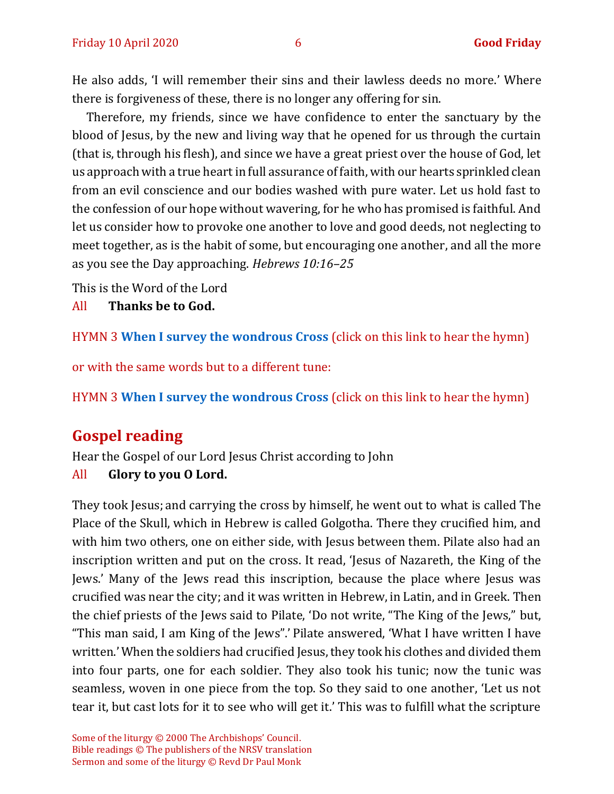He also adds, 'I will remember their sins and their lawless deeds no more.' Where there is forgiveness of these, there is no longer any offering for sin.

Therefore, my friends, since we have confidence to enter the sanctuary by the blood of Jesus, by the new and living way that he opened for us through the curtain (that is, through his flesh), and since we have a great priest over the house of God, let us approach with a true heart in full assurance of faith, with our hearts sprinkled clean from an evil conscience and our bodies washed with pure water. Let us hold fast to the confession of our hope without wavering, for he who has promised is faithful. And let us consider how to provoke one another to love and good deeds, not neglecting to meet together, as is the habit of some, but encouraging one another, and all the more as you see the Day approaching. *Hebrews 10:16–25*

This is the Word of the Lord

All **Thanks be to God.**

HYMN 3 **[When I survey the wondrous Cross](https://www.youtube.com/watch?v=iK8kYlBn_qI)** (click on this link to hear the hymn)

or with the same words but to a different tune:

HYMN 3 **[When I survey the wondrous Cross](https://www.youtube.com/watch?v=kimLXNhzZMA)** (click on this link to hear the hymn)

# **Gospel reading**

Hear the Gospel of our Lord Jesus Christ according to John All **Glory to you O Lord.**

# They took Jesus; and carrying the cross by himself, he went out to what is called The Place of the Skull, which in Hebrew is called Golgotha. There they crucified him, and with him two others, one on either side, with Jesus between them. Pilate also had an inscription written and put on the cross. It read, 'Jesus of Nazareth, the King of the Jews.' Many of the Jews read this inscription, because the place where Jesus was crucified was near the city; and it was written in Hebrew, in Latin, and in Greek. Then the chief priests of the Jews said to Pilate, 'Do not write, "The King of the Jews," but, "This man said, I am King of the Jews".' Pilate answered, 'What I have written I have written.'When the soldiers had crucified Jesus, they took his clothes and divided them into four parts, one for each soldier. They also took his tunic; now the tunic was seamless, woven in one piece from the top. So they said to one another, 'Let us not tear it, but cast lots for it to see who will get it.' This was to fulfill what the scripture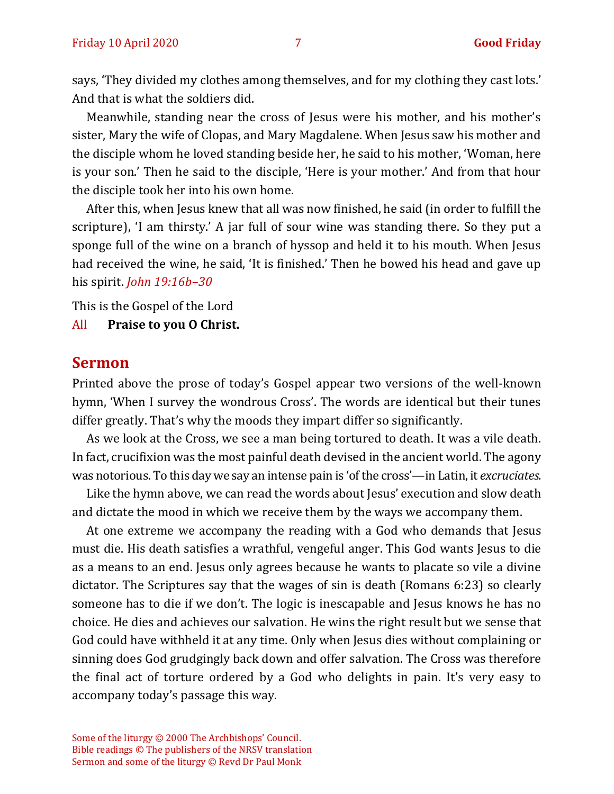says, 'They divided my clothes among themselves, and for my clothing they cast lots.' And that is what the soldiers did.

Meanwhile, standing near the cross of Jesus were his mother, and his mother's sister, Mary the wife of Clopas, and Mary Magdalene. When Jesus saw his mother and the disciple whom he loved standing beside her, he said to his mother, 'Woman, here is your son.' Then he said to the disciple, 'Here is your mother.' And from that hour the disciple took her into his own home.

After this, when Jesus knew that all was now finished, he said (in order to fulfill the scripture), 'I am thirsty.' A jar full of sour wine was standing there. So they put a sponge full of the wine on a branch of hyssop and held it to his mouth. When Jesus had received the wine, he said, 'It is finished.' Then he bowed his head and gave up his spirit. *John 19:16b–30*

This is the Gospel of the Lord

#### All **Praise to you O Christ.**

#### **Sermon**

Printed above the prose of today's Gospel appear two versions of the well-known hymn, 'When I survey the wondrous Cross'. The words are identical but their tunes differ greatly. That's why the moods they impart differ so significantly.

As we look at the Cross, we see a man being tortured to death. It was a vile death. In fact, crucifixion was the most painful death devised in the ancient world. The agony was notorious. To this day we say an intense pain is 'of the cross'—in Latin, it *excruciates.*

Like the hymn above, we can read the words about Jesus' execution and slow death and dictate the mood in which we receive them by the ways we accompany them.

At one extreme we accompany the reading with a God who demands that Jesus must die. His death satisfies a wrathful, vengeful anger. This God wants Jesus to die as a means to an end. Jesus only agrees because he wants to placate so vile a divine dictator. The Scriptures say that the wages of sin is death (Romans 6:23) so clearly someone has to die if we don't. The logic is inescapable and Jesus knows he has no choice. He dies and achieves our salvation. He wins the right result but we sense that God could have withheld it at any time. Only when Jesus dies without complaining or sinning does God grudgingly back down and offer salvation. The Cross was therefore the final act of torture ordered by a God who delights in pain. It's very easy to accompany today's passage this way.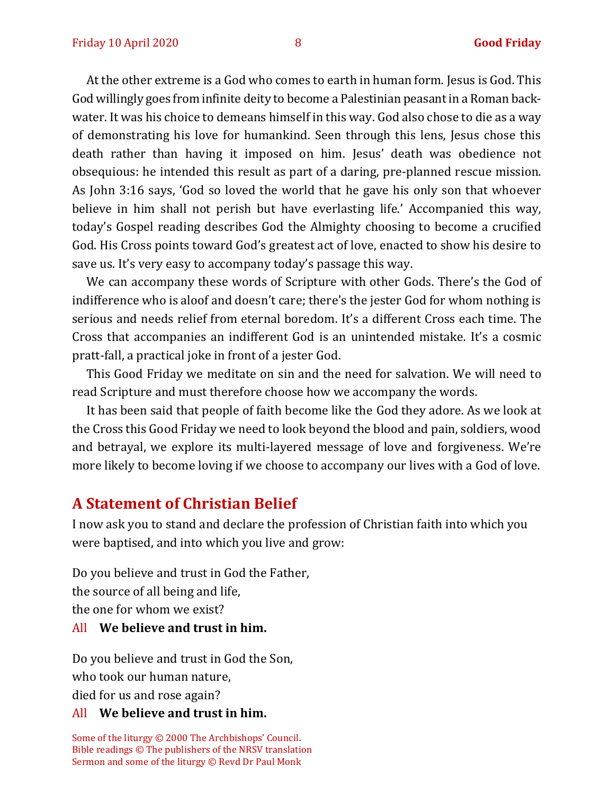At the other extreme is a God who comes to earth in human form. Jesus is God. This God willingly goes from infinite deity to become a Palestinian peasant in a Roman backwater. It was his choice to demeans himself in this way. God also chose to die as a way of demonstrating his love for humankind. Seen through this lens, Jesus chose this death rather than having it imposed on him. Jesus' death was obedience not obsequious: he intended this result as part of a daring, pre-planned rescue mission. As John 3:16 says, 'God so loved the world that he gave his only son that whoever believe in him shall not perish but have everlasting life.' Accompanied this way, today's Gospel reading describes God the Almighty choosing to become a crucified God. His Cross points toward God's greatest act of love, enacted to show his desire to save us. It's very easy to accompany today's passage this way.

We can accompany these words of Scripture with other Gods. There's the God of indifference who is aloof and doesn't care; there's the jester God for whom nothing is serious and needs relief from eternal boredom. It's a different Cross each time. The Cross that accompanies an indifferent God is an unintended mistake. It's a cosmic pratt-fall, a practical joke in front of a jester God.

This Good Friday we meditate on sin and the need for salvation. We will need to read Scripture and must therefore choose how we accompany the words.

It has been said that people of faith become like the God they adore. As we look at the Cross this Good Friday we need to look beyond the blood and pain, soldiers, wood and betrayal, we explore its multi-layered message of love and forgiveness. We're more likely to become loving if we choose to accompany our lives with a God of love.

## **A Statement of Christian Belief**

I now ask you to stand and declare the profession of Christian faith into which you were baptised, and into which you live and grow:

Do you believe and trust in God the Father, the source of all being and life, the one for whom we exist?

### All **We believe and trust in him.**

Do you believe and trust in God the Son, who took our human nature, died for us and rose again?

#### All **We believe and trust in him.**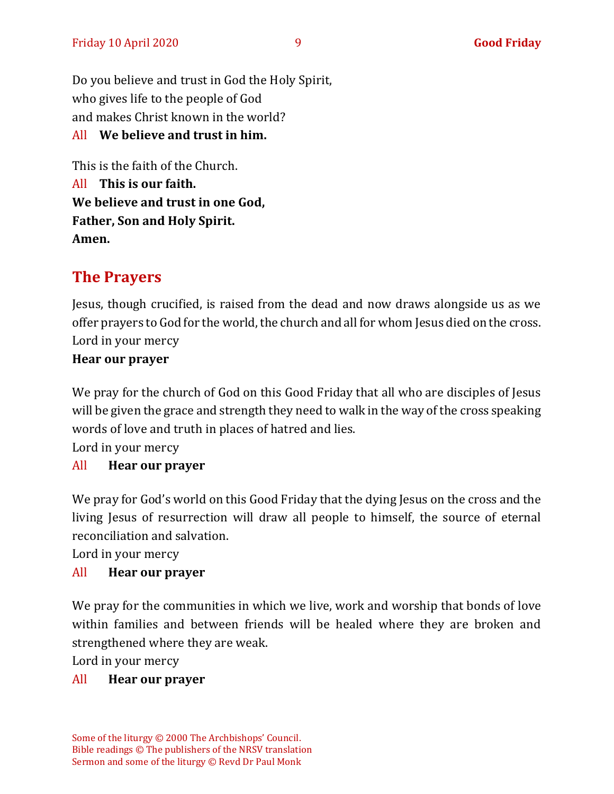Do you believe and trust in God the Holy Spirit, who gives life to the people of God and makes Christ known in the world? All **We believe and trust in him.**

This is the faith of the Church. All **This is our faith. We believe and trust in one God, Father, Son and Holy Spirit. Amen.**

# **The Prayers**

Jesus, though crucified, is raised from the dead and now draws alongside us as we offer prayers to God for the world, the church and all for whom Jesus died on the cross. Lord in your mercy

### **Hear our prayer**

We pray for the church of God on this Good Friday that all who are disciples of Jesus will be given the grace and strength they need to walk in the way of the cross speaking words of love and truth in places of hatred and lies.

Lord in your mercy

### All **Hear our prayer**

We pray for God's world on this Good Friday that the dying Jesus on the cross and the living Jesus of resurrection will draw all people to himself, the source of eternal reconciliation and salvation.

Lord in your mercy

### All **Hear our prayer**

We pray for the communities in which we live, work and worship that bonds of love within families and between friends will be healed where they are broken and strengthened where they are weak.

Lord in your mercy

### All **Hear our prayer**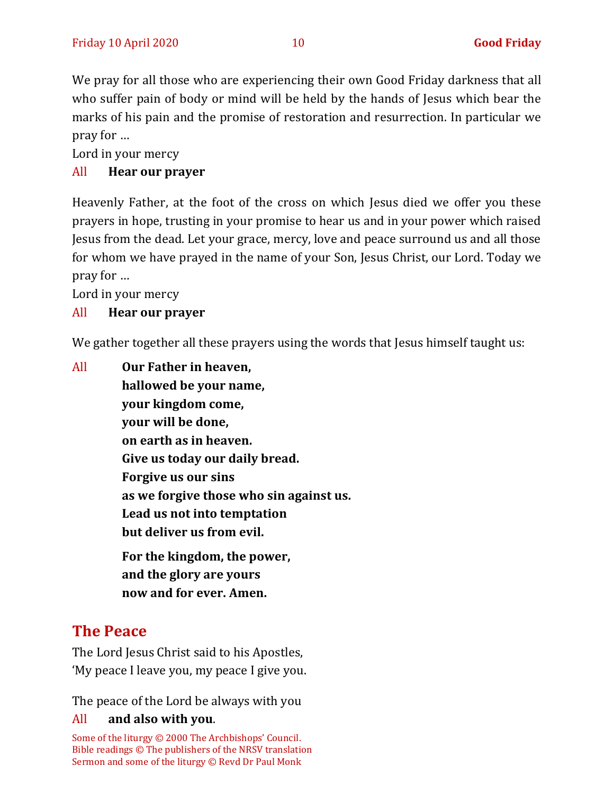We pray for all those who are experiencing their own Good Friday darkness that all who suffer pain of body or mind will be held by the hands of Jesus which bear the marks of his pain and the promise of restoration and resurrection. In particular we pray for …

Lord in your mercy

### All **Hear our prayer**

Heavenly Father, at the foot of the cross on which Jesus died we offer you these prayers in hope, trusting in your promise to hear us and in your power which raised Jesus from the dead. Let your grace, mercy, love and peace surround us and all those for whom we have prayed in the name of your Son, Jesus Christ, our Lord. Today we pray for …

Lord in your mercy

### All **Hear our prayer**

We gather together all these prayers using the words that Jesus himself taught us:

All **Our Father in heaven, hallowed be your name, your kingdom come, your will be done, on earth as in heaven. Give us today our daily bread. Forgive us our sins as we forgive those who sin against us. Lead us not into temptation but deliver us from evil. For the kingdom, the power, and the glory are yours**

**now and for ever. Amen.**

# **The Peace**

The Lord Jesus Christ said to his Apostles, 'My peace I leave you, my peace I give you.

The peace of the Lord be always with you

### All **and also with you**.